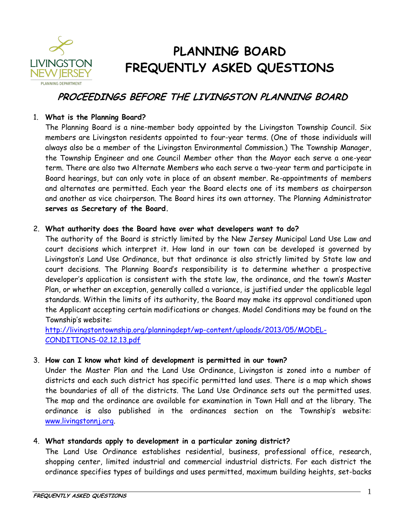

# **PLANNING BOARD FREQUENTLY ASKED QUESTIONS**

# **PROCEEDINGS BEFORE THE LIVINGSTON PLANNING BOARD**

#### 1. **What is the Planning Board?**

The Planning Board is a nine-member body appointed by the Livingston Township Council. Six members are Livingston residents appointed to four-year terms. (One of those individuals will always also be a member of the Livingston Environmental Commission.) The Township Manager, the Township Engineer and one Council Member other than the Mayor each serve a one-year term. There are also two Alternate Members who each serve a two-year term and participate in Board hearings, but can only vote in place of an absent member. Re-appointments of members and alternates are permitted. Each year the Board elects one of its members as chairperson and another as vice chairperson. The Board hires its own attorney. The Planning Administrator **serves as Secretary of the Board.**

#### 2. **What authority does the Board have over what developers want to do?**

The authority of the Board is strictly limited by the New Jersey Municipal Land Use Law and court decisions which interpret it. How land in our town can be developed is governed by Livingston's Land Use Ordinance, but that ordinance is also strictly limited by State law and court decisions. The Planning Board's responsibility is to determine whether a prospective developer's application is consistent with the state law, the ordinance, and the town's Master Plan, or whether an exception, generally called a variance, is justified under the applicable legal standards. Within the limits of its authority, the Board may make its approval conditioned upon the Applicant accepting certain modifications or changes. Model Conditions may be found on the Township's website:

[http://livingstontownship.org/planningdept/wp-content/uploads/2013/05/MODEL-](http://livingstontownship.org/planningdept/wp-content/uploads/2013/05/MODEL-CONDITIONS-02.12.13.pdf)[CONDITIONS-02.12.13.pdf](http://livingstontownship.org/planningdept/wp-content/uploads/2013/05/MODEL-CONDITIONS-02.12.13.pdf)

# 3. **How can I know what kind of development is permitted in our town?**

Under the Master Plan and the Land Use Ordinance, Livingston is zoned into a number of districts and each such district has specific permitted land uses. There is a map which shows the boundaries of all of the districts. The Land Use Ordinance sets out the permitted uses. The map and the ordinance are available for examination in Town Hall and at the library. The ordinance is also published in the ordinances section on the Township's website: [www.livingstonnj.org.](http://www.livingstonnj.org/)

# 4. **What standards apply to development in a particular zoning district?**

The Land Use Ordinance establishes residential, business, professional office, research, shopping center, limited industrial and commercial industrial districts. For each district the ordinance specifies types of buildings and uses permitted, maximum building heights, set-backs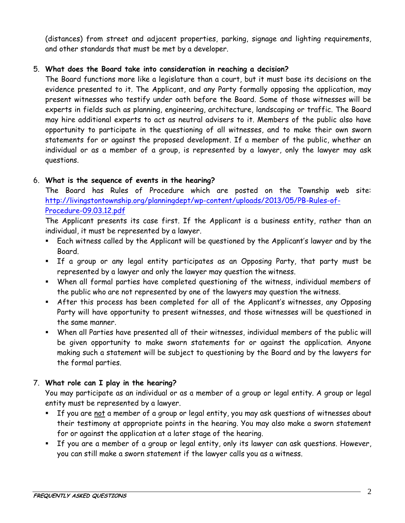(distances) from street and adjacent properties, parking, signage and lighting requirements, and other standards that must be met by a developer.

# 5. **What does the Board take into consideration in reaching a decision?**

The Board functions more like a legislature than a court, but it must base its decisions on the evidence presented to it. The Applicant, and any Party formally opposing the application, may present witnesses who testify under oath before the Board. Some of those witnesses will be experts in fields such as planning, engineering, architecture, landscaping or traffic. The Board may hire additional experts to act as neutral advisers to it. Members of the public also have opportunity to participate in the questioning of all witnesses, and to make their own sworn statements for or against the proposed development. If a member of the public, whether an individual or as a member of a group, is represented by a lawyer, only the lawyer may ask questions.

# 6. **What is the sequence of events in the hearing?**

The Board has Rules of Procedure which are posted on the Township web site: [http://livingstontownship.org/planningdept/wp-content/uploads/2013/05/PB-Rules-of-](http://livingstontownship.org/planningdept/wp-content/uploads/2013/05/PB-Rules-of-Procedure-09.03.12.pdf)[Procedure-09.03.12.pdf](http://livingstontownship.org/planningdept/wp-content/uploads/2013/05/PB-Rules-of-Procedure-09.03.12.pdf)

The Applicant presents its case first. If the Applicant is a business entity, rather than an individual, it must be represented by a lawyer.

- Each witness called by the Applicant will be questioned by the Applicant's lawyer and by the Board.
- If a group or any legal entity participates as an Opposing Party, that party must be represented by a lawyer and only the lawyer may question the witness.
- When all formal parties have completed questioning of the witness, individual members of the public who are not represented by one of the lawyers may question the witness.
- After this process has been completed for all of the Applicant's witnesses, any Opposing Party will have opportunity to present witnesses, and those witnesses will be questioned in the same manner.
- When all Parties have presented all of their witnesses, individual members of the public will be given opportunity to make sworn statements for or against the application. Anyone making such a statement will be subject to questioning by the Board and by the lawyers for the formal parties.

# 7. **What role can I play in the hearing?**

You may participate as an individual or as a member of a group or legal entity. A group or legal entity must be represented by a lawyer.

- **If you are not a member of a group or legal entity, you may ask questions of witnesses about** their testimony at appropriate points in the hearing. You may also make a sworn statement for or against the application at a later stage of the hearing.
- If you are a member of a group or legal entity, only its lawyer can ask questions. However, you can still make a sworn statement if the lawyer calls you as a witness.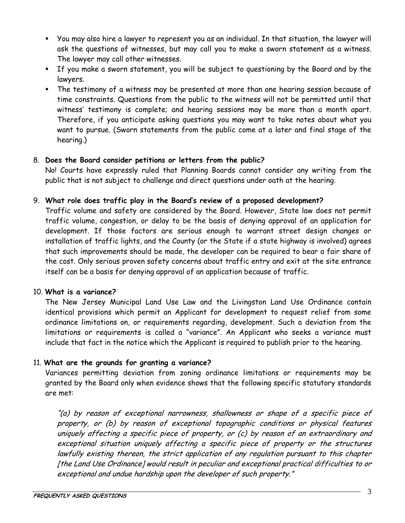- You may also hire a lawyer to represent you as an individual. In that situation, the lawyer will ask the questions of witnesses, but may call you to make a sworn statement as a witness. The lawyer may call other witnesses.
- If you make a sworn statement, you will be subject to questioning by the Board and by the lawyers.
- The testimony of a witness may be presented at more than one hearing session because of time constraints. Questions from the public to the witness will not be permitted until that witness' testimony is complete; and hearing sessions may be more than a month apart. Therefore, if you anticipate asking questions you may want to take notes about what you want to pursue. (Sworn statements from the public come at a later and final stage of the hearing.)

# 8. **Does the Board consider petitions or letters from the public?**

No! Courts have expressly ruled that Planning Boards cannot consider any writing from the public that is not subject to challenge and direct questions under oath at the hearing.

#### 9. **What role does traffic play in the Board's review of a proposed development?**

Traffic volume and safety are considered by the Board. However, State law does not permit traffic volume, congestion, or delay to be the basis of denying approval of an application for development. If those factors are serious enough to warrant street design changes or installation of traffic lights, and the County (or the State if a state highway is involved) agrees that such improvements should be made, the developer can be required to bear a fair share of the cost. Only serious proven safety concerns about traffic entry and exit at the site entrance itself can be a basis for denying approval of an application because of traffic.

#### 10. **What is a variance?**

The New Jersey Municipal Land Use Law and the Livingston Land Use Ordinance contain identical provisions which permit an Applicant for development to request relief from some ordinance limitations on, or requirements regarding, development. Such a deviation from the limitations or requirements is called a "variance". An Applicant who seeks a variance must include that fact in the notice which the Applicant is required to publish prior to the hearing.

# 11. **What are the grounds for granting a variance?**

Variances permitting deviation from zoning ordinance limitations or requirements may be granted by the Board only when evidence shows that the following specific statutory standards are met:

"(a) by reason of exceptional narrowness, shallowness or shape of a specific piece of property, or (b) by reason of exceptional topographic conditions or physical features uniquely affecting a specific piece of property, or (c) by reason of an extraordinary and exceptional situation uniquely affecting a specific piece of property or the structures lawfully existing thereon, the strict application of any regulation pursuant to this chapter [the Land Use Ordinance] would result in peculiar and exceptional practical difficulties to or exceptional and undue hardship upon the developer of such property."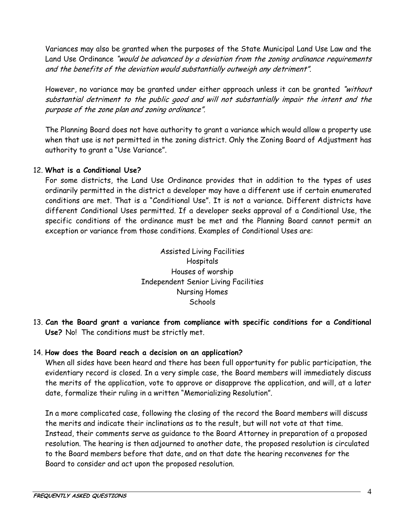Variances may also be granted when the purposes of the State Municipal Land Use Law and the Land Use Ordinance "would be advanced by a deviation from the zoning ordinance requirements and the benefits of the deviation would substantially outweigh any detriment".

However, no variance may be granted under either approach unless it can be granted "without substantial detriment to the public good and will not substantially impair the intent and the purpose of the zone plan and zoning ordinance".

The Planning Board does not have authority to grant a variance which would allow a property use when that use is not permitted in the zoning district. Only the Zoning Board of Adjustment has authority to grant a "Use Variance".

#### 12. **What is a Conditional Use?**

For some districts, the Land Use Ordinance provides that in addition to the types of uses ordinarily permitted in the district a developer may have a different use if certain enumerated conditions are met. That is a "Conditional Use". It is not a variance. Different districts have different Conditional Uses permitted. If a developer seeks approval of a Conditional Use, the specific conditions of the ordinance must be met and the Planning Board cannot permit an exception or variance from those conditions. Examples of Conditional Uses are:

> Assisted Living Facilities Hospitals Houses of worship Independent Senior Living Facilities Nursing Homes **Schools**

13. **Can the Board grant a variance from compliance with specific conditions for a Conditional Use?** No! The conditions must be strictly met.

#### 14. **How does the Board reach a decision on an application?**

When all sides have been heard and there has been full opportunity for public participation, the evidentiary record is closed. In a very simple case, the Board members will immediately discuss the merits of the application, vote to approve or disapprove the application, and will, at a later date, formalize their ruling in a written "Memorializing Resolution".

In a more complicated case, following the closing of the record the Board members will discuss the merits and indicate their inclinations as to the result, but will not vote at that time. Instead, their comments serve as guidance to the Board Attorney in preparation of a proposed resolution. The hearing is then adjourned to another date, the proposed resolution is circulated to the Board members before that date, and on that date the hearing reconvenes for the Board to consider and act upon the proposed resolution.